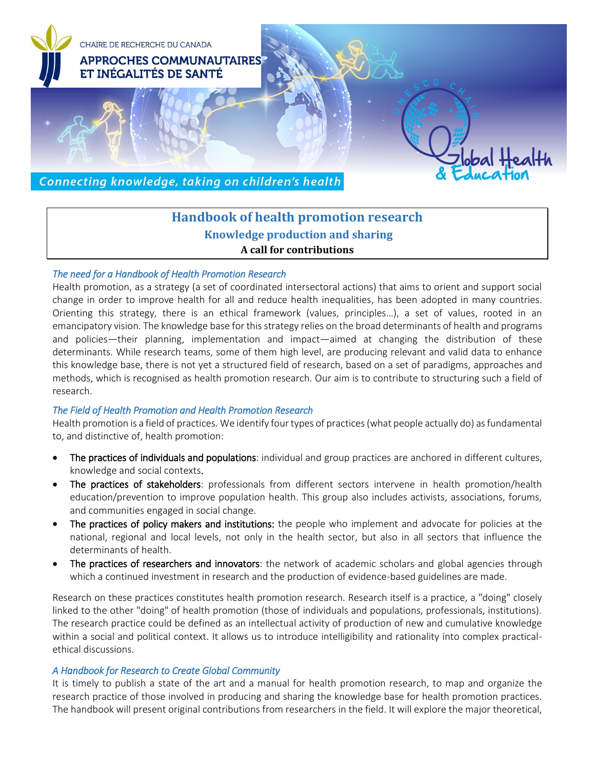

# **Handbook of health promotion research Knowledge production and sharing A call for contributions**

### *The need for a Handbook of Health Promotion Research*

Health promotion, as a strategy (a set of coordinated intersectoral actions) that aims to orient and support social change in order to improve health for all and reduce health inequalities, has been adopted in many countries. Orienting this strategy, there is an ethical framework (values, principles…), a set of values, rooted in an emancipatory vision. The knowledge base for this strategy relies on the broad determinants of health and programs and policies—their planning, implementation and impact—aimed at changing the distribution of these determinants. While research teams, some of them high level, are producing relevant and valid data to enhance this knowledge base, there is not yet a structured field of research, based on a set of paradigms, approaches and methods, which is recognised as health promotion research. Our aim is to contribute to structuring such a field of research.

### *The Field of Health Promotion and Health Promotion Research*

Health promotion is a field of practices. We identify four types of practices (what people actually do) as fundamental to, and distinctive of, health promotion:

- The practices of individuals and populations: individual and group practices are anchored in different cultures, knowledge and social contexts.
- The practices of stakeholders: professionals from different sectors intervene in health promotion/health education/prevention to improve population health. This group also includes activists, associations, forums, and communities engaged in social change.
- The practices of policy makers and institutions: the people who implement and advocate for policies at the national, regional and local levels, not only in the health sector, but also in all sectors that influence the determinants of health.
- The practices of researchers and innovators: the network of academic scholars and global agencies through which a continued investment in research and the production of evidence-based guidelines are made.

Research on these practices constitutes health promotion research. Research itself is a practice, a "doing" closely linked to the other "doing" of health promotion (those of individuals and populations, professionals, institutions). The research practice could be defined as an intellectual activity of production of new and cumulative knowledge within a social and political context. It allows us to introduce intelligibility and rationality into complex practicalethical discussions.

### *A Handbook for Research to Create Global Community*

It is timely to publish a state of the art and a manual for health promotion research, to map and organize the research practice of those involved in producing and sharing the knowledge base for health promotion practices. The handbook will present original contributions from researchers in the field. It will explore the major theoretical,